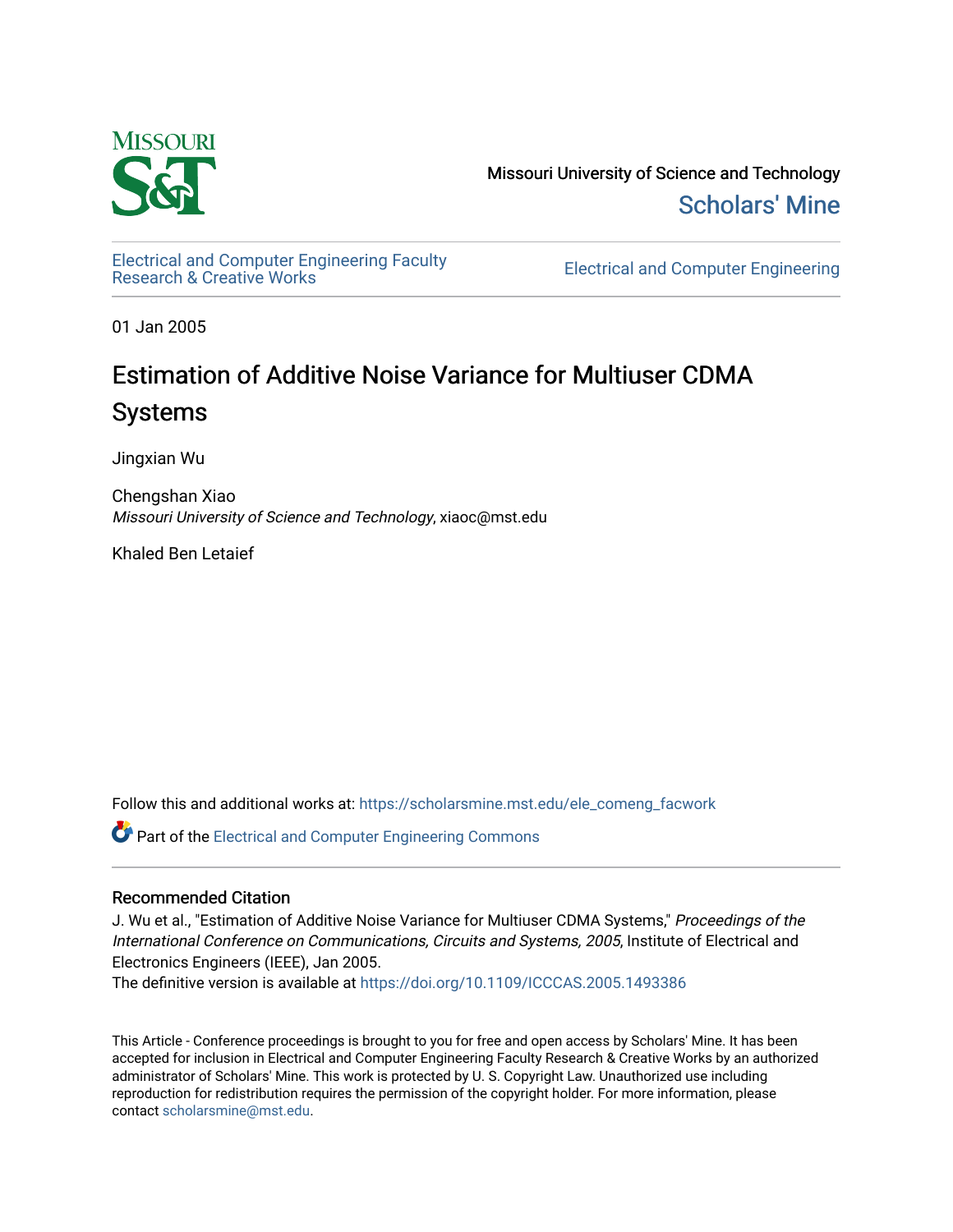

Missouri University of Science and Technology [Scholars' Mine](https://scholarsmine.mst.edu/) 

[Electrical and Computer Engineering Faculty](https://scholarsmine.mst.edu/ele_comeng_facwork)

**Electrical and Computer Engineering** 

01 Jan 2005

# Estimation of Additive Noise Variance for Multiuser CDMA Systems

Jingxian Wu

Chengshan Xiao Missouri University of Science and Technology, xiaoc@mst.edu

Khaled Ben Letaief

Follow this and additional works at: [https://scholarsmine.mst.edu/ele\\_comeng\\_facwork](https://scholarsmine.mst.edu/ele_comeng_facwork?utm_source=scholarsmine.mst.edu%2Fele_comeng_facwork%2F1601&utm_medium=PDF&utm_campaign=PDFCoverPages)

**C** Part of the Electrical and Computer Engineering Commons

## Recommended Citation

J. Wu et al., "Estimation of Additive Noise Variance for Multiuser CDMA Systems," Proceedings of the International Conference on Communications, Circuits and Systems, 2005, Institute of Electrical and Electronics Engineers (IEEE), Jan 2005.

The definitive version is available at <https://doi.org/10.1109/ICCCAS.2005.1493386>

This Article - Conference proceedings is brought to you for free and open access by Scholars' Mine. It has been accepted for inclusion in Electrical and Computer Engineering Faculty Research & Creative Works by an authorized administrator of Scholars' Mine. This work is protected by U. S. Copyright Law. Unauthorized use including reproduction for redistribution requires the permission of the copyright holder. For more information, please contact [scholarsmine@mst.edu](mailto:scholarsmine@mst.edu).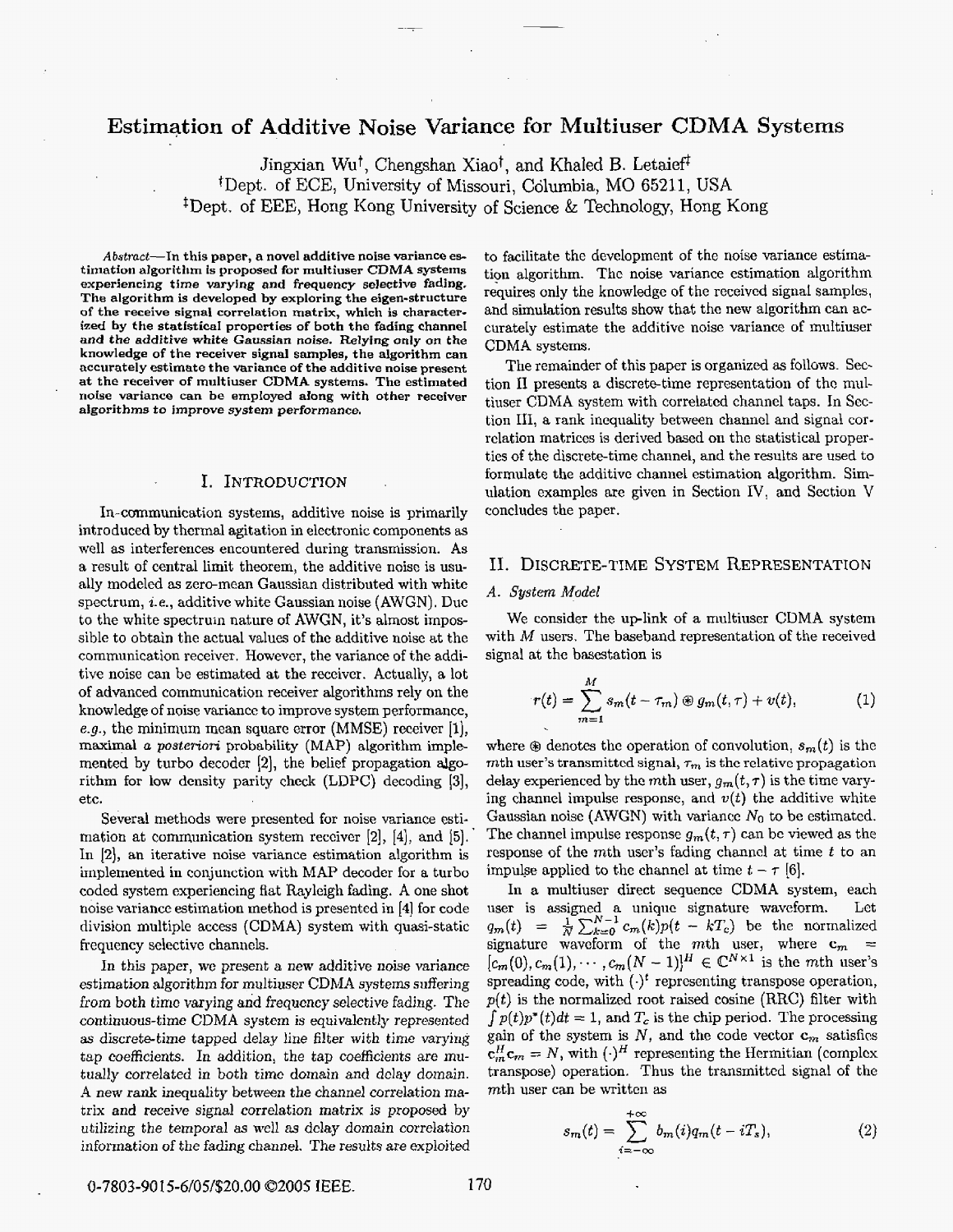## **Estimation of Additive Noise Variance for Multiuser CDMA Systems**

Jingxian Wu<sup>†</sup>, Chengshan Xiao<sup>†</sup>, and Khaled B. Letaief<sup>‡</sup>

tDept. of ECE, University of Missouri, Columbia, MO 65211, USA

\$Dept. of EEE, Hong Kong University of Science & Technology, Hong Kong

Abstract-In this paper, a novel additive noise variance es**timation algorithm is proposed for multiuser CDMA systems experiencing time varying and frequency selective fading. The algorithm is developed by exploring the eigen-structure of the receive signal correlation matrix, which is character**ized by the statistical properties of both the fading channel *and the additive* **white Gaussian noise. Relying only on the knowledge of the receiver signal samples, the algorithm can accurately estimate the variance of the additive noise present at the receiver of multiuser CDMA systems. The estimated noise variance can** *be* **employed along with other receiver algorithms to improve system performance.** 

#### **1.** INTRODUCTION .

In-cmmunication system, additive noise is primarily introduced by thermal agitation in electronic components as well **as** interferences encountered during transmission. **As**  a result of central limit theorem, the additive noise is usually modeled **as** zerc-mean Gaussian distributed with white spectrum, *i.e.,* additive white Gaussian noise (AWGN). Duc to the white spectruin nature of AWGN, it's almost impossible to obtain the actual values of the additive noise at the communication receiver. However, the variance of **the** additive noise can be estimated at **the** receivcr. Actually, a lot **of** advanced communication receiver algorithms rely on the knowledge of noise variance to improve system performance, **e.g.,** the minimum mean square error (MMSE) receiver [I], maximal *a posteriori* probability (MAP) algorithm implemented by turbo decoder **[Z],** the bclief propagation *algo*rithm for **low** density parity check (LDPC) decoding **I3],**  etc.

Several methods were presented for noise variance estimation at communication system receiver [2], [4], and [5]. In [2], an iterative noise variance estimation algorithm is implemented in conjunction with MAP decoder for a turbo coded system experiencing **Hat** Fbyhigh fading. **A** one shot noise variance estimation method is presentcd in **[4]** for code division multiple access (CDMA) system with quasi-static hequency selective channels.

In this **paper, we** present **a** new additive noise variance estimation algorithm for multiuser CDMA **systems** suffering from both *timc* varying *and* frequency selective fading. The *continuous-time* CDMA system *is* equivalently *represented*  as *discrete-time* tapped delay line **filter** *with time* varying tap coefficients. In addition, the *tap* coefficients are mu**tually** correlated in both *timc* domain and delay domain. **A new** rank inequality between the channel *correlation* ma*trix and* receive signal correlation *matrix is proposed* by utilizing the temporal **as** well **as delay** domain correlation information of *the* fading channel. The results *are* exploited to facilitate the development **of** the noise variance estimation algorithm. The noise variance estimation algorithm requires only the knowledge of the received signal Samples, and simulation results show that the new algorithm can accurately estimate the additive noise variance of multiuser CDMA systems.

The remainder of this paper is organized **as** follows. *Sec*tion II presents a discrete-time representation of thc multiuser CDMA system with correlated channel taps. In Scction 111, a **rank** inequality between channel and signal correlation matrices is derived based on the statistical properties **of** the discrete-time channel, and the results are used to formulate the additive channel estimation algorithm. Simulation examples are given in Section IV, and Section V concludes the paper.

### 11. DISCRETE-TIME SYSTEM REPRESENTATION

#### *A.* System *Model*

We consider the up-link of a multiuser CDMA system with *M* users. The baseband representation of the received signal at the basestation is

$$
r(t) = \sum_{m=1}^{M} s_m(t - \tau_m) \circledast g_m(t, \tau) + v(t), \qquad (1)
$$

where  $\circledast$  denotes the operation of convolution,  $s_m(t)$  is the mth user's transmitted signal,  $\tau_m$  is the relative propagation delay experienced by the mth user,  $q_m(t, \tau)$  is the time varying channel impulse response, and  $v(t)$  the additive white Gaussian noise (AWGN) with variance  $N_0$  to be estimated. The channel impulse response  $g_m(t, \tau)$  can be viewed as the response of the mth user's fading channel at time *t* to an impulse applied to the channel at time  $t - \tau$  [6].

**In a** multiuser direct sequence CDMA system, each user is assigned a uniquc signature waveform. Lct user is assigned a unique signature waveform. Let  $q_m(t) = \frac{1}{N} \sum_{k=0}^{N-1} c_m(k)p(t - kT_c)$  be the normalized signature waveform of the mth user, where  $c_m = [c_m(0), c_m(1), \cdots, c_m(N-1)]^H \in \mathbb{C}^{N \times 1}$  is the mth user's spreading code, with  $(\cdot)^t$  representing transpose operation, *p(t)* is the normalized root raised cosine (RRC) filter with  $\int p(t)p^{*}(t)dt = 1$ , and  $T_c$  is the chip period. The processing gain of the system is  $N$ , and the code vector  $c_m$  satisfies  $c_m^H c_m = N$ , with  $(\cdot)^H$  representing the Hermitian (complex transpose) operation. Thus the transmitted signal of the mth user can be written **as** 

$$
s_m(t) = \sum_{i=-\infty}^{+\infty} b_m(i)q_m(t - iT_s), \qquad (2)
$$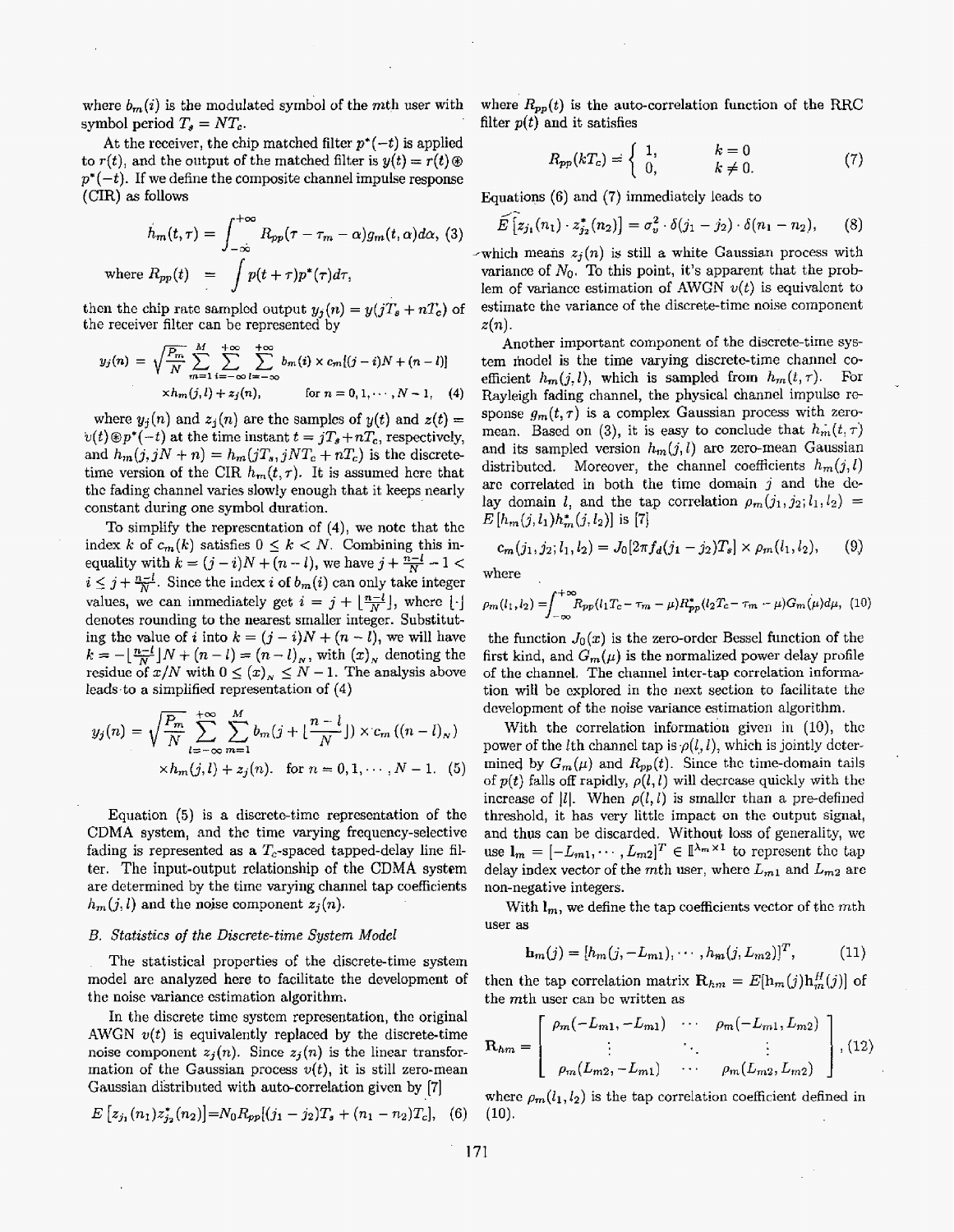where  $b_m(i)$  is the modulated symbol of the mth user with symbol period  $T_s = NT_c$ .

At the receiver, the chip matched filter  $p^*(-t)$  is applied to  $r(t)$ , and the output of the matched filter is  $y(t) = r(t) \circledast$  $p^*(-t)$ . If we define the composite channel impulse response (CIR) **as** follows

$$
\dot{h}_m(t,\tau) = \int_{-\infty}^{+\infty} R_{pp}(\tau - \tau_m - \alpha) g_m(t,\alpha) d\alpha, \text{ (3)}
$$
\n
$$
\text{where } R_{pp}(t) = \int p(t+\tau) p^*(\tau) d\tau,
$$

the receiver filter can be represented by

then the chip rate sampled output 
$$
y_j(n) = y(jT_s + nT_c)
$$
 of  
the receiver filter can be represented by  

$$
y_j(n) = \sqrt{\frac{P_m}{N}} \sum_{m=1}^{M} \sum_{i=-\infty}^{+\infty} \sum_{l=-\infty}^{+\infty} b_m(i) \times c_m[(j-i)N + (n-l)]
$$

$$
\times h_m(j,l) + z_j(n), \quad \text{for } n = 0, 1, \dots, N-1, \quad (4)
$$

where  $y_i(n)$  and  $z_i(n)$  are the samples of  $y(t)$  and  $z(t)$  =  $v(t) \oplus p^*(-t)$  at the time instant  $t = jT_s + nT_c$ , respectively, and  $h_m(j,jN+n) = h_m(jT_s,jNT_c + nT_c)$  is the discretetime version of the CIR  $h_m(t, \tau)$ . It is assumed here that thc fading channel varies slowly enough that it keeps nearly constant during one symbol duration.

To simplifj the representation of **(4),** we note that the index *k* of  $c_m(k)$  satisfies  $0 \leq k \leq N$ . Combining this inequality with  $k = (j - i)N + (n - l)$ , we have  $j + \frac{n - l}{N} - 1$  $i \leq j + \frac{n-l}{N}$ . Since the index *i* of  $b_m(i)$  can only take integer values, we can immediately get  $i = j + \lfloor \frac{n-l}{N} \rfloor$ , where  $\lfloor \cdot \rfloor$ denotes rounding to the nearest smaller integer. Substituting the value of *i* into  $k = (j - i)N + (n - l)$ , we will have ing the value of *i* into  $k = (j - i)N + (n - l)$ , we will have  $k = -\left\lfloor \frac{n-l}{N} \right\rfloor N + (n - l) = (n - l)_{N}$ , with  $(x)_{N}$  denoting the  $k \approx -\left[\frac{w}{N}\right]N + (n - i) = (n - i)_{N}$ , with  $\left(\frac{x}{N}\right)_{N}$  denoting the residue of  $x/N$  with  $0 \leq (x)_{N} \leq N - 1$ . The analysis above teads to **a** simplified rcpresentation of **(4)** 

$$
y_j(n) = \sqrt{\frac{P_m}{N}} \sum_{l=-\infty}^{+\infty} \sum_{m=1}^{M} b_m(j + \lfloor \frac{n-l}{N} \rfloor) \times c_m ((n-l)_N)
$$
  
  $\times h_m(j,l) + z_j(n).$  for  $n = 0, 1, \dots, N-1$ . (5)

Equation (5) is a discrete-time representation of the CDMA system, and the time varying frequency-selective fading is represented as a  $T_c$ -spaced tapped-delay line filter. The input-output relationship of the **CDMA** system are determined by the time varying channel tap coefficients  $h_m(j, l)$  and the noise component  $z_i(n)$ .

#### *3. Statistics* **of** *the Discrete-time* System *Model*

The statistical properties of the discrete-time system model are analyzed here to facilitate the development of the noise variance estimation algorithm.

In the discrete time system representation, the original AWGN  $v(t)$  is equivalently replaced by the discrete-time noise component  $z_j(n)$ . Since  $z_j(n)$  is the linear transformation of the Gaussian process  $v(t)$ , it is still zero-mean Gaussian distributed with auto-correlation given by [7]

$$
E[z_{j_1}(n_1)z_{j_2}^*(n_2)] = N_0 R_{pp}[(j_1 - j_2)T_s + (n_1 - n_2)T_c],
$$
 (6)

where  $R_{pp}(t)$  is the auto-correlation function of the RRC filter  $p(t)$  and it satisfies

$$
R_{pp}(kT_c) = \begin{cases} 1, & k = 0 \\ 0, & k \neq 0. \end{cases}
$$
 (7)

Equations (6) and (7) immediately leads to

$$
\widehat{E}\left[z_{j_1}(n_1)\cdot z_{j_2}^*(n_2)\right]=\sigma_v^2\cdot \delta(j_1-j_2)\cdot \delta(n_1-n_2),\qquad (8)
$$

which means  $z_j(n)$  is still a white Gaussian process with variance of  $N_0$ . To this point, it's apparent that the problem of variance estimation of AWGN  $v(t)$  is equivalent to estimate the variance of the discrete-time noise component  $z(n)$ .

Another important component of the discrete-time system model is the time varying discrete-time channel coefficient  $h_m(j, l)$ , which is sampled from  $h_m(t, \tau)$ . For Rayleigh fading channel, the physical channel impulse response  $g_m(t, \tau)$  is a complex Gaussian process with zeromean. Based on (3), it is easy to conclude that  $h_m(t,\tau)$ and its sampled version  $h_m(j, l)$  are zero-mean Gaussian distributed. Moreover, the channel coefficients  $h_m(j, l)$ are correlated in both the time domain *j* and the de-<br>lay domain *l*, and the tap correlation  $\rho_m(j_1, j_2; l_1, l_2)$  $E[h_m(j, l_1)h_m^*(j, l_2)]$  is [7]

$$
c_m(j_1, j_2; l_1, l_2) = J_0[2\pi f_d(j_1 - j_2)T_s] \times \rho_m(l_1, l_2), \qquad (9)
$$

where

$$
\rho_m(l_1, l_2) = \int_{-\infty}^{+\infty} R_{pp}(l_1 T_c - \tau_m - \mu) R_{pp}^*(l_2 T_c - \tau_m - \mu) G_m(\mu) d\mu, \tag{10}
$$

the function  $J_0(x)$  is the zero-order Bessel function of the first kind, and  $G_m(\mu)$  is the normalized power delay profile of the channel, The channel intcr-tap corrclation information will bc cxplorcd in thc next section to facilitate thc development of the noise variance cstimation algorithm.

With the correlation information given in  $(10)$ , the power of the *l*th channel tap is  $\rho(l, l)$ , which is jointly determined by  $G_m(\mu)$  and  $R_{pp}(t)$ . Since the time-domain tails of  $p(t)$  falls off rapidly,  $p(l, l)$  will decrease quickly with the increase of  $|l|$ . When  $\rho(l, l)$  is smaller than a pre-defined threshold, it has very little impact on the output signal, and thus can be discarded. Without loss of generality, we use  $\mathbf{l}_m = [-L_{m1}, \cdots, L_{m2}]^T \in \mathbb{I}^{\lambda_m \times 1}$  to represent the tap delay index vector of the mth user, where  $L_{m1}$  and  $L_{m2}$  are non-negative integers.

With  $l_m$ , we define the tap coefficients vector of the mth user **as** 

$$
\mathbf{h}_{m}(j) = [h_{m}(j, -L_{m1}), \cdots, h_{m}(j, L_{m2})]^{T}, \qquad (11)
$$

then the tap correlation matrix  $\mathbf{R}_{hm} = E[\mathbf{h}_m(j)\mathbf{h}_m^H(j)]$  of the mth uscr can bc written **as** 

$$
\mathbf{R}_{hm} = \begin{bmatrix} \rho_m(-L_{m1}, -L_{m1}) & \cdots & \rho_m(-L_{m1}, L_{m2}) \\ \vdots & \ddots & \vdots \\ \rho_m(L_{m2}, -L_{m1}) & \cdots & \rho_m(L_{m2}, L_{m2}) \end{bmatrix}, (12)
$$

where  $\rho_m(l_1, l_2)$  is the tap correlation coefficient defined in **(10).**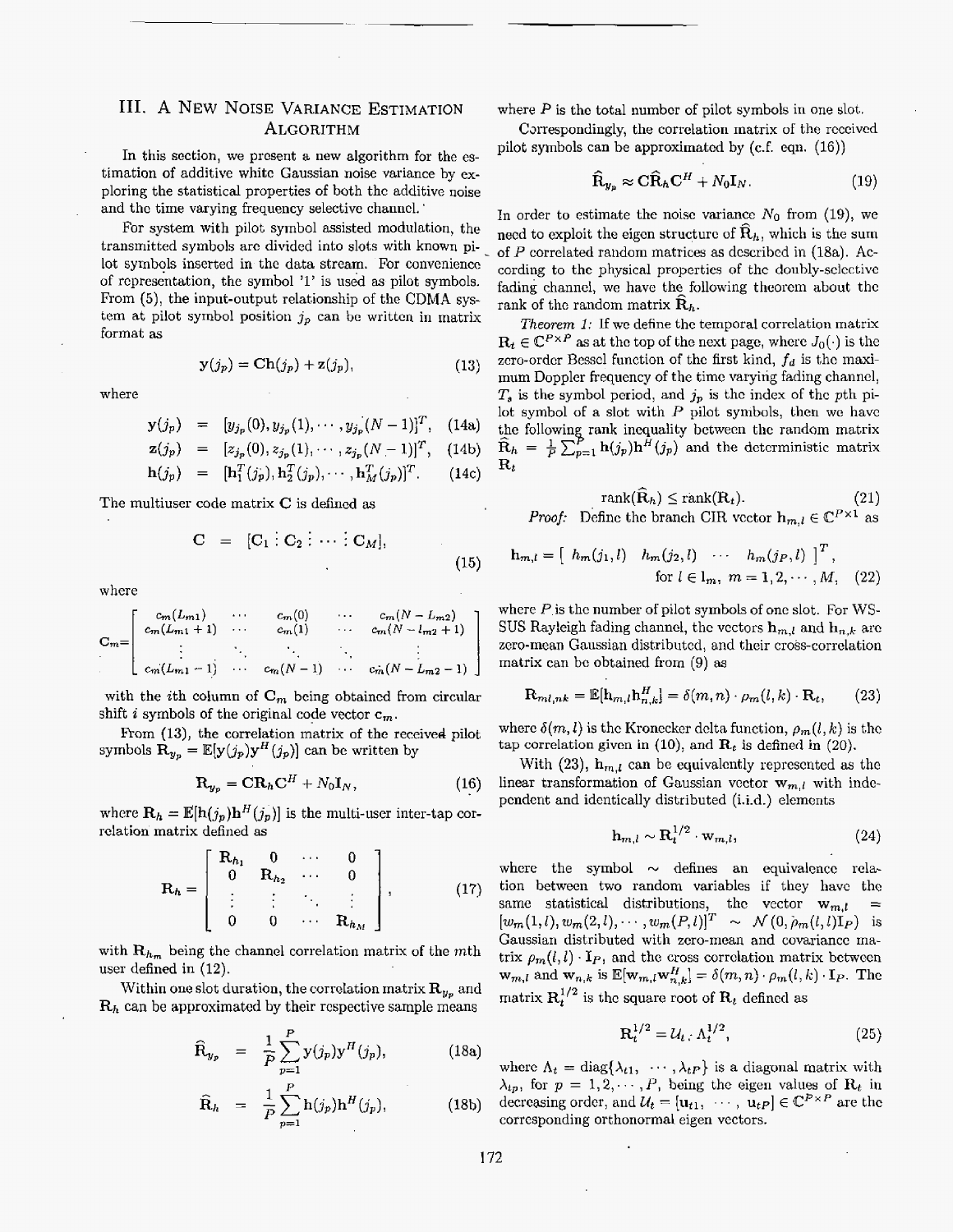## **111. A** NEW NOISE **VARIANCE** ESTIMATION **ALGORITHM**

In this section, we present a new algorithm for the estimation of additive white Gaussian noise variance by exploring the statistical properties of both thc additive noise and the time varying frequency selective channcl. '

For system with pilot symbol assisted modulation, the transmitted symbols arc divided into slots with known pilot symbols inserted in the data stream. For convenience of representation, the symbol '1' is used as pilot symbols. From *(5),* the input-output relationship of the CDMA system at pilot symbol position  $j_p$  can be written in matrix format **as** 

$$
\mathbf{y}(j_p) = \mathbf{Ch}(j_p) + \mathbf{z}(j_p),\tag{13}
$$

where

$$
\mathbf{y}(j_p) = [y_{j_p}(0), y_{j_p}(1), \cdots, y_{j_p}(N-1)]^T, (14a)
$$

$$
\mathbf{z}(j_p) = [z_{j_p}(0), z_{j_p}(1), \cdots, z_{j_p}(N-1)]^T, (14b)
$$

$$
\mathbf{h}(j_p) = [\mathbf{h}_1^T(j_p), \mathbf{h}_2^T(j_p), \cdots, \mathbf{h}_M^T(j_p)]^T. \tag{14c}
$$

The multiuser code matrix C is defined as

$$
\mathbf{C} = [\mathbf{C}_1 \vdots \mathbf{C}_2 \vdots \cdots \vdots \mathbf{C}_M],
$$

where

$$
\mathbf{C}_{m} = \begin{bmatrix} c_{m}(L_{m1}) & \cdots & c_{m}(0) & \cdots & c_{m}(N-L_{m2}) \\ c_{m}(L_{m1}+1) & \cdots & c_{m}(1) & \cdots & c_{m}(N-l_{m2}+1) \\ \vdots & \ddots & \ddots & \vdots & \vdots \\ c_{m}(L_{m1}-1) & \cdots & c_{m}(N-1) & \cdots & c_{m}(N-L_{m2}-1) \end{bmatrix}
$$

with the *i*th column of  $C_m$  being obtained from circular shift *i* symbols of the original code vector  $c_m$ .

From **(13),** the correlation matrix of the received pilot symbols  $\mathbf{R}_{y_p} = \mathbb{E}[\mathbf{y}(j_p)\mathbf{y}^H(j_p)]$  can be written by

$$
\mathbf{R}_{y_p} = \mathbf{C} \mathbf{R}_h \mathbf{C}^H + N_0 \mathbf{I}_N, \qquad (16)
$$

where  $\mathbf{R}_h = \mathbb{E}[\mathbf{h}(j_p)\mathbf{h}^H(j_p)]$  is the multi-user inter-tap correlation matrix defined as

$$
\mathbf{R}_{h} = \left[ \begin{array}{cccc} \mathbf{R}_{h_1} & 0 & \cdots & 0 \\ 0 & \mathbf{R}_{h_2} & \cdots & 0 \\ \vdots & \vdots & \ddots & \vdots \\ 0 & 0 & \cdots & \mathbf{R}_{h_M} \end{array} \right], \quad (17)
$$

with  $\mathbf{R}_{h_m}$  being the channel correlation matrix of the *mth* user defined in **(12).** 

Within one slot duration, the correlation matrix  $\mathbf{R}_{y_p}$  and **Rh** can be approximatcd by their rcspective sample means

$$
\widehat{\mathbf{R}}_{y_p} = \frac{1}{P} \sum_{p=1}^{P} \mathbf{y}(j_p) \mathbf{y}^H(j_p), \qquad (18a)
$$

$$
\widehat{\mathbf{R}}_h = \frac{1}{P} \sum_{p=1}^P \mathbf{h}(j_p) \mathbf{h}^H(j_p), \qquad (18b)
$$

where *P* is the total number of pilot symbols in one slot.

pilot symbols can be approximatcd by (c.f. cqn. (16)) Correspondingly, the correlation matrix of the received

$$
\widehat{\mathbf{R}}_{y_{\mu}} \approx \mathbf{C} \widehat{\mathbf{R}}_{h} \mathbf{C}^{H} + N_{0} \mathbf{I}_{N}. \tag{19}
$$

In order to estimate the noise variance  $N_0$  from (19), we need to exploit the eigen structure of  $\hat{\mathbf{R}}_h$ , which is the sum of *P* corrclated random matrices **as** dcscribcd in **(Ha).** According to thc physical propcrtics of thc doubly-selcctivc fading channel, we have the following theorem about the rank of the random matrix  $\mathbf{R}_h$ .

*Theorem I:* If we define thc temporal corrclation matrix  $\mathbf{R}_t \in \mathbb{C}^{P \times P}$  as at the top of the next page, where  $J_0(\cdot)$  is the zero-order Bessel function of the first kind,  $f_d$  is the maximum Doppler frequency of the time varying fading channel,  $T<sub>s</sub>$  is the symbol period, and  $j<sub>p</sub>$  is the index of the pth pilot symbol *o€* a slot with *F* pilot symbols, then we havc the following rank inequality between the random matrix  $\hat{\mathbf{R}}_h = \frac{1}{P} \sum_{p=1}^{P} \mathbf{h}(j_p) \mathbf{h}^H(j_p)$  and the deterministic matrix *Rt* 

$$
\text{rank}(\widehat{\mathbf{R}}_h) \le \text{rank}(\mathbf{R}_t). \tag{21}
$$
  
*Proof:* Define the branch CIR vector  $\mathbf{h}_{m,l} \in \mathbb{C}^{P \times 1}$  as

$$
\mathbf{h}_{m,l} = \begin{bmatrix} h_m(j_1, l) & h_m(j_2, l) & \cdots & h_m(j_P, l) \end{bmatrix}^T, \n\text{for } l \in l_m, \ m = 1, 2, \cdots, M,
$$
\n(22)

where *P* is the number of pilot symbols of onc slot. For WS-SUS Rayleigh fading channel, the vectors  $h_{m,l}$  and  $h_{n,k}$  are zero-mean Gaussian distributed, and their cross-correlation matrix can bc obtained from (9) **as** 

$$
\mathbf{R}_{ml,nk} = \mathbb{E}[\mathbf{h}_{m,l}\mathbf{h}_{n,k}^H] = \delta(m,n) \cdot \rho_m(l,k) \cdot \mathbf{R}_t, \qquad (23)
$$

where  $\delta(m, l)$  is the Kronecker delta function,  $\rho_m(l, k)$  is the  $\tan$  **tap correlation given in (10), and**  $\mathbf{R}_t$  **is defined in (20).** 

With  $(23)$ ,  $\mathbf{h}_{m,l}$  can be equivalently represented as the linear transformation of Gaussian vector  $w_{m,l}$  with indepcndent and identically distributed (i.i.d.) elements

$$
\mathbf{h}_{m,l} \sim \mathbf{R}_t^{1/2} \cdot \mathbf{w}_{m,l},\tag{24}
$$

where the symbol  $\sim$  defines an equivalence relation between two random variables if they have the same statistical distributions, the vector  $\mathbf{w}_{m,l} = [w_m(1,l), w_m(2,l), \dots, w_m(P,l)]^T \sim \mathcal{N}(0, \rho_m(l,l)\mathbf{I}_P)$  is Gaussian distributed with zero-mean and covariance matrix  $\rho_m(l,l) \cdot \mathbf{I}_P$ , and the cross correlation matrix between  $\mathbf{w}_{m,l}$  and  $\mathbf{w}_{n,k}$  is  $\mathbb{E}[\mathbf{w}_{m,l}\mathbf{w}_{n,k}^H] = \delta(m,n) \cdot \rho_m(l,k) \cdot \mathbf{I}_P$ . The matrix  $\mathbf{R}_t^{1/2}$  is the square root of  $\mathbf{R}_t$  defined as

$$
\mathbf{R}_{t}^{1/2} = \mathcal{U}_{t} \cdot \Lambda_{t}^{1/2},\tag{25}
$$

where  $\Lambda_t = \text{diag}\{\lambda_{t1}, \dots, \lambda_{tP}\}\$ is a diagonal matrix with  $\lambda_{tp}$ , for  $p = 1, 2, \dots, P$ , being the eigen values of **R**<sub>t</sub> in decreasing order, and  $U_t = [\mathbf{u}_{t1}, \dots, \mathbf{u}_{tP}] \in \mathbb{C}^{P \times P}$  are the corresponding orthonormal cigen vectors.

(15)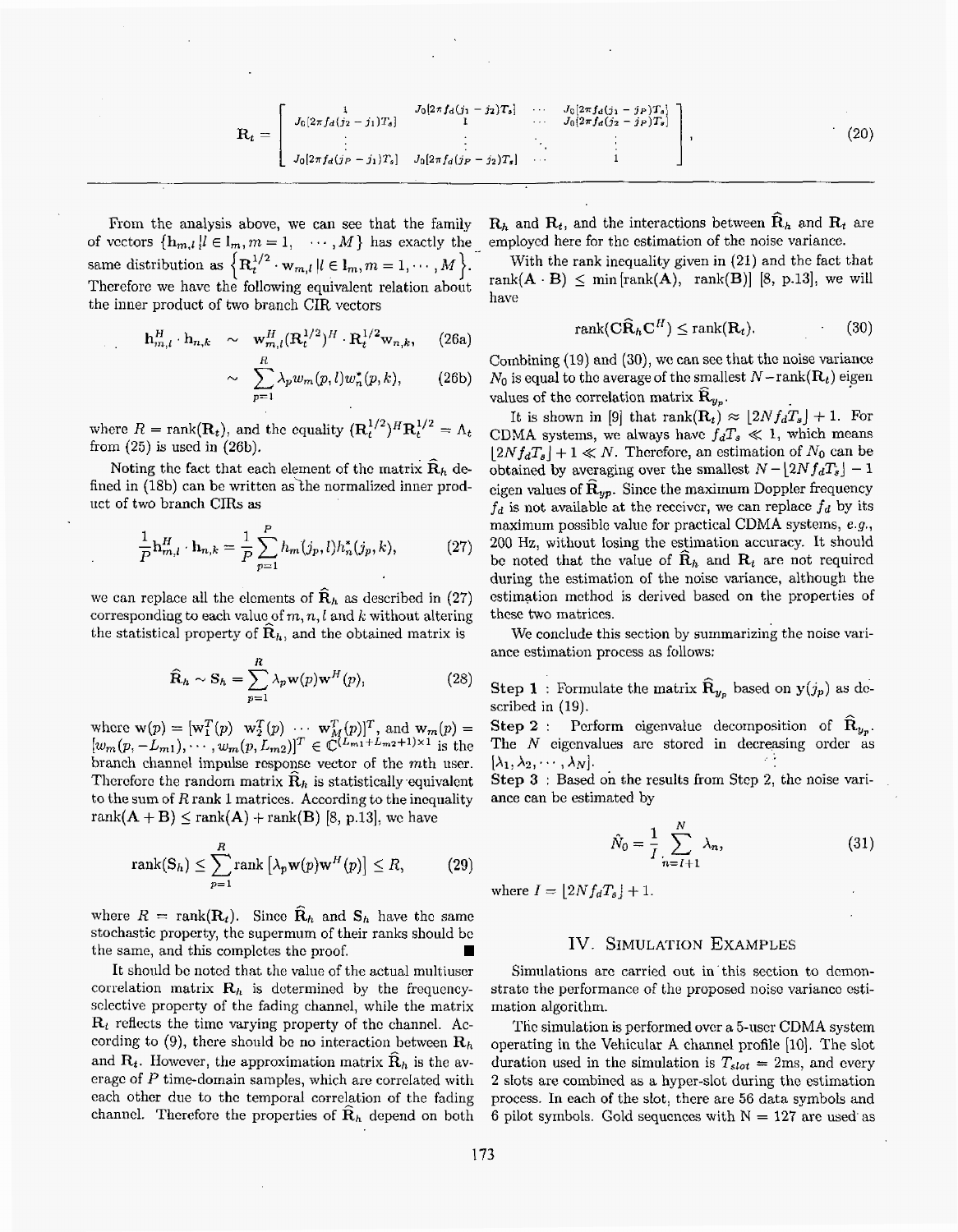$$
\mathbf{R}_{t} = \begin{bmatrix} 1 & J_{0}[2\pi f_{d}(j_{1} - j_{1})T_{s}] & \cdots & J_{0}[2\pi f_{d}(j_{1} - j_{P})T_{s}] \\ J_{0}[2\pi f_{d}(j_{2} - j_{1})T_{s}] & 1 & \cdots & J_{0}[2\pi f_{d}(j_{2} - j_{P})T_{s}] \\ \vdots & \vdots & \ddots & \vdots \\ J_{0}[2\pi f_{d}(j_{P} - j_{1})T_{s}] & J_{0}[2\pi f_{d}(j_{P} - j_{2})T_{s}] & 1 \end{bmatrix},
$$
\n(20)

From *the* analysis above, we can see that the family of vectors  $\{h_{m,l}\,|l \in I_m, m = 1, \ldots, M\}$  has exactly the Therefore we have the following equivalent relation about the inner product of **two** branch CIR vectors same distribution as  $\left\{ \mathbf{R}_t^{1/2} \cdot \mathbf{w}_{m,t} | l \in \mathbf{l}_m, m = 1, \cdots, M \right\}.$ 

$$
\mathbf{h}_{m,l}^H \cdot \mathbf{h}_{n,k} \quad \sim \quad \mathbf{w}_{m,l}^H (\mathbf{R}_t^{1/2})^H \cdot \mathbf{R}_t^{1/2} \mathbf{w}_{n,k}, \qquad (26a)
$$

$$
\sim \sum_{p=1}^{R} \lambda_p w_m(p,l) w_n^*(p,k), \qquad (26b)
$$

where  $R = \text{rank}(\mathbf{R}_t)$ , and the equality  $(\mathbf{R}_t^{1/2})^H \mathbf{R}_t^{1/2} = \Lambda_t$ from **(25)** is used in **(26b).** 

Noting the fact that each element of the matrix  $\hat{\mathbf{R}}_h$  defined in (18b) can be written as the normalized inner product of two branch CIRS **as** 

$$
\frac{1}{P} \mathbf{h}_{m,l}^H \cdot \mathbf{h}_{n,k} = \frac{1}{P} \sum_{p=1}^P h_m(j_p, l) h_n^*(j_p, k), \tag{27}
$$

we can replace all the elements of  $\widehat{\mathbf{R}}_h$  as described in (27) corresponding to each value of  $m, n, l$  and  $k$  without altering the statistical property of  $\hat{\mathbf{R}}_h$ , and the obtained matrix is

$$
\widehat{\mathbf{R}}_h \sim \mathbf{S}_h = \sum_{p=1}^R \lambda_p \mathbf{w}(p) \mathbf{w}^H(p), \qquad (28)
$$

where  $\mathbf{w}(p) = [\mathbf{w}_1^T(p) \quad \mathbf{w}_2^T(p) \quad \cdots \quad \mathbf{w}_M^T(p)]^T$ , and  $\mathbf{w}_m(p) =$  $[w_m(p, -L_{m1}), \cdots, w_m(p, L_{m2})]^T \in \mathbb{C}^{(L_{m1}+L_{m2}+1)\times 1}$  is the branch channel impulse response vector of the mth user. Therefore the random matrix  $\mathbf{R}_h$  is statistically equivalent to the sum of *R* rank 1 matrices. According to the inequality  $rank(A + B) \leq rank(A) + rank(B)$  [8, p.13], we have

$$
rank(S_h) \leq \sum_{p=1}^{R} rank\left[\lambda_p \mathbf{w}(p) \mathbf{w}^H(p)\right] \leq R, \qquad (29)
$$

where  $R = \text{rank}(\mathbf{R}_t)$ . Since  $\widehat{\mathbf{R}}_h$  and  $\mathbf{S}_h$  have the same stochastic propcrty, the supermum of their ranks should bc the same, and this complctes thc proof.  $\blacksquare$ 

It should be noted that the value of the actual multiuser correlation matrix  $\mathbf{R}_h$  is determined by the frequencysclective property of the fading channel, while the matrix  $\mathbf{R}_t$  reflects the time varying property of the channel. According to (9), there should be no interaction between  $\mathbf{R}_h$ and  $\mathbf{R}_t$ . However, the approximation matrix  $\widehat{\mathbf{R}}_h$  is the average of P time-domain samples, which are correlated with each other due to the temporal correlation of the fading channel. Therefore the properties of  $\hat{\mathbf{R}}_h$  depend on both

 $R_h$  and  $R_t$ , and the interactions between  $\hat{R}_h$  and  $R_t$  are employcd here for the estimation of the noise variance.

With the rank inequality given in **(21)** and the fact that rank $(A \cdot B) \leq \min \{ \text{rank}(A), \text{rank}(B) \}$  [8, p.13], we will have

$$
rank(\mathbf{C}\widehat{\mathbf{R}}_h\mathbf{C}^H) \le rank(\mathbf{R}_t). \tag{30}
$$

Combining (19) and **(30),** wc can see that thc noise variance  $N_0$  is equal to the average of the smallest  $N-{\rm rank}(\mathbf{R}_t)$  eigen values of the correlation matrix  $\mathbf{R}_{y_p}$ .

It is shown in [9] that  $\text{rank}(\mathbf{R}_t) \approx \lfloor 2N f_d T_s \rfloor + 1$ . For CDMA systems, we always have  $f_dT_s \ll 1$ , which means  $|2N f_d T_s| + 1 \ll N$ . Therefore, an estimation of  $N_0$  can be obtained by averaging over the smallest  $N - \lfloor 2N f_dT_s \rfloor - 1$ cigen values of  $\dot{R}_{yp}$ . Since the maximum Doppler frequency  $f_d$  is not available at the receiver, we can replace  $f_d$  by its maximum possible value for practical CDMA systems, *e.g.,*  200 Hz, without Losing the ecimation accuracy. It should be noted that the value of  $\hat{\mathbf{R}}_h$  and  $\mathbf{R}_t$  are not required during the estimation of the noisc variance, although the estimation method is derived bascd on the properties of these two matriccs.

We conclude this section by summarizing the noisc variance estimation process **as** follows:

**Step 1** : Formulate the matrix  $\widehat{\mathbf{R}}_{y_p}$  based on  $y(j_p)$  as described in (19).

scribed in (19).<br>**Step 2** : Perform eigenvalue decomposition of  $\widehat{\mathbf{R}}_{y_p}$ . The *N* eigenvalues are stored in decreasing order as  $[\lambda_1, \lambda_2, \cdots, \lambda_N].$ 

**Step 3** : Based **on** the results from Step 2, the noise variance can be estimated by

$$
\hat{N}_0 = \frac{1}{I} \sum_{n=I+1}^{N} \lambda_n,
$$
\n(31)

where  $I = \lfloor 2Nf_dT_s \rfloor + 1$ .

## IV. SIMULATION EXAMPLES

Simulations arc carried out in'this section to dcmonstratc the performance *of* the proposed noisc variancc cstimation algorithm.

Thc simulation is performed ovcr a 5-uscr CDMA system operating in the Vehicular **A** channel profile [lo]. The slot duration used in the simulation is  $T_{slot} = 2$ ms, and every **2** dots are combined as a hyper-slot during the estimation process. In each of the slot, there are 56 data symbols and 6 pilot symbols. Gold sequences with N = <sup>127</sup>**are** used as